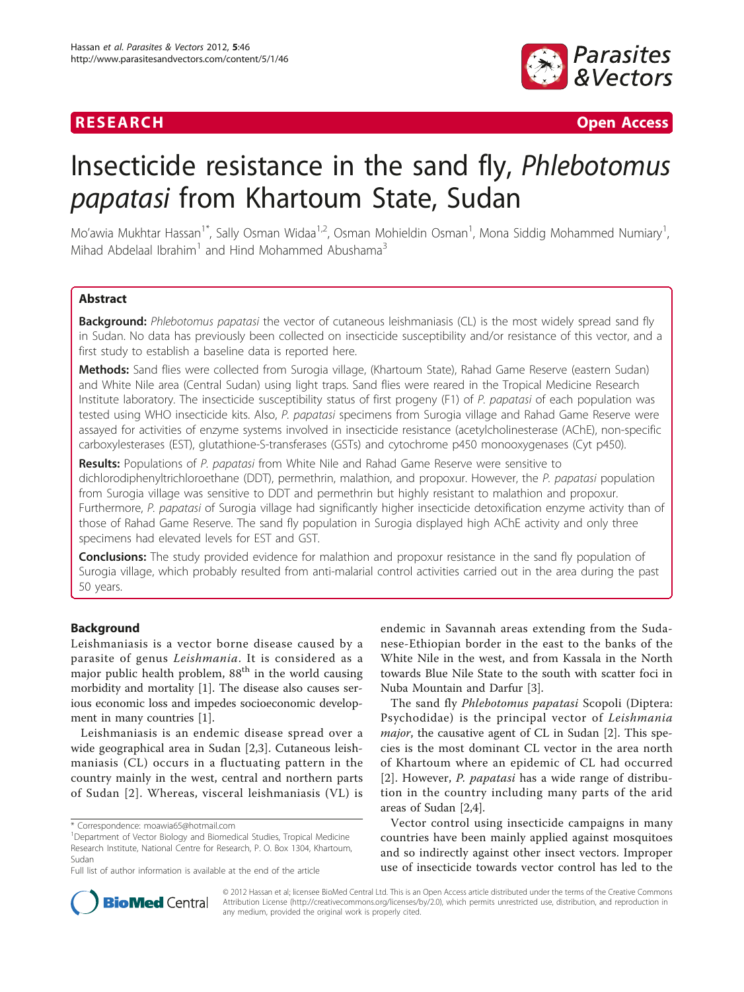

**RESEARCH Open Access** 

# Insecticide resistance in the sand fly, Phlebotomus papatasi from Khartoum State, Sudan

Mo'awia Mukhtar Hassan<sup>1\*</sup>, Sally Osman Widaa<sup>1,2</sup>, Osman Mohieldin Osman<sup>1</sup>, Mona Siddig Mohammed Numiary<sup>1</sup> , Mihad Abdelaal Ibrahim<sup>1</sup> and Hind Mohammed Abushama<sup>3</sup>

# Abstract

Background: Phlebotomus papatasi the vector of cutaneous leishmaniasis (CL) is the most widely spread sand fly in Sudan. No data has previously been collected on insecticide susceptibility and/or resistance of this vector, and a first study to establish a baseline data is reported here.

Methods: Sand flies were collected from Surogia village, (Khartoum State), Rahad Game Reserve (eastern Sudan) and White Nile area (Central Sudan) using light traps. Sand flies were reared in the Tropical Medicine Research Institute laboratory. The insecticide susceptibility status of first progeny (F1) of P. papatasi of each population was tested using WHO insecticide kits. Also, P. papatasi specimens from Surogia village and Rahad Game Reserve were assayed for activities of enzyme systems involved in insecticide resistance (acetylcholinesterase (AChE), non-specific carboxylesterases (EST), glutathione-S-transferases (GSTs) and cytochrome p450 monooxygenases (Cyt p450).

Results: Populations of P. papatasi from White Nile and Rahad Game Reserve were sensitive to dichlorodiphenyltrichloroethane (DDT), permethrin, malathion, and propoxur. However, the P. papatasi population from Surogia village was sensitive to DDT and permethrin but highly resistant to malathion and propoxur. Furthermore, P. papatasi of Surogia village had significantly higher insecticide detoxification enzyme activity than of those of Rahad Game Reserve. The sand fly population in Surogia displayed high AChE activity and only three specimens had elevated levels for EST and GST.

Conclusions: The study provided evidence for malathion and propoxur resistance in the sand fly population of Surogia village, which probably resulted from anti-malarial control activities carried out in the area during the past 50 years.

# **Background**

Leishmaniasis is a vector borne disease caused by a parasite of genus Leishmania. It is considered as a major public health problem,  $88<sup>th</sup>$  in the world causing morbidity and mortality [[1\]](#page-8-0). The disease also causes serious economic loss and impedes socioeconomic development in many countries [[1\]](#page-8-0).

Leishmaniasis is an endemic disease spread over a wide geographical area in Sudan [\[2](#page-8-0),[3\]](#page-8-0). Cutaneous leishmaniasis (CL) occurs in a fluctuating pattern in the country mainly in the west, central and northern parts of Sudan [[2](#page-8-0)]. Whereas, visceral leishmaniasis (VL) is

endemic in Savannah areas extending from the Sudanese-Ethiopian border in the east to the banks of the White Nile in the west, and from Kassala in the North towards Blue Nile State to the south with scatter foci in Nuba Mountain and Darfur [\[3](#page-8-0)].

The sand fly Phlebotomus papatasi Scopoli (Diptera: Psychodidae) is the principal vector of Leishmania major, the causative agent of CL in Sudan [\[2](#page-8-0)]. This species is the most dominant CL vector in the area north of Khartoum where an epidemic of CL had occurred [[2](#page-8-0)]. However, *P. papatasi* has a wide range of distribution in the country including many parts of the arid areas of Sudan [\[2,4](#page-8-0)].

Vector control using insecticide campaigns in many countries have been mainly applied against mosquitoes and so indirectly against other insect vectors. Improper use of insecticide towards vector control has led to the



© 2012 Hassan et al; licensee BioMed Central Ltd. This is an Open Access article distributed under the terms of the Creative Commons Attribution License [\(http://creativecommons.org/licenses/by/2.0](http://creativecommons.org/licenses/by/2.0)), which permits unrestricted use, distribution, and reproduction in any medium, provided the original work is properly cited.

<sup>\*</sup> Correspondence: [moawia65@hotmail.com](mailto:moawia65@hotmail.com)

<sup>&</sup>lt;sup>1</sup>Department of Vector Biology and Biomedical Studies, Tropical Medicine Research Institute, National Centre for Research, P. O. Box 1304, Khartoum, Sudan

Full list of author information is available at the end of the article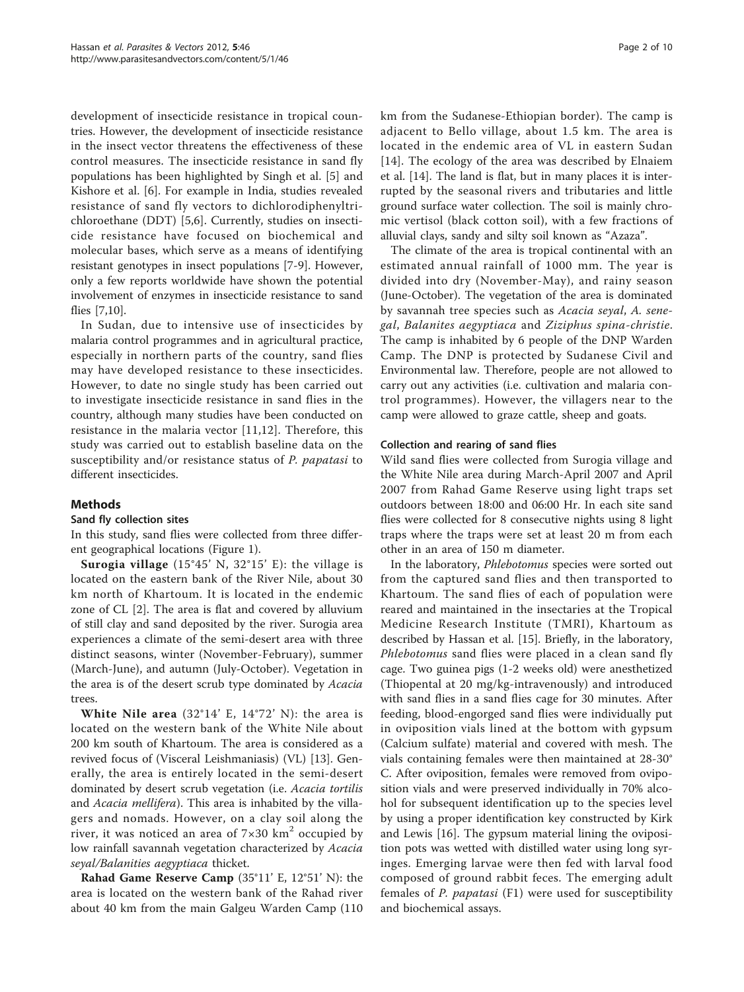development of insecticide resistance in tropical countries. However, the development of insecticide resistance in the insect vector threatens the effectiveness of these control measures. The insecticide resistance in sand fly populations has been highlighted by Singh et al. [[5\]](#page-8-0) and Kishore et al. [\[6](#page-8-0)]. For example in India, studies revealed resistance of sand fly vectors to dichlorodiphenyltrichloroethane (DDT) [[5,6](#page-8-0)]. Currently, studies on insecticide resistance have focused on biochemical and molecular bases, which serve as a means of identifying resistant genotypes in insect populations [\[7](#page-8-0)-[9](#page-8-0)]. However, only a few reports worldwide have shown the potential involvement of enzymes in insecticide resistance to sand flies [\[7,10\]](#page-8-0).

In Sudan, due to intensive use of insecticides by malaria control programmes and in agricultural practice, especially in northern parts of the country, sand flies may have developed resistance to these insecticides. However, to date no single study has been carried out to investigate insecticide resistance in sand flies in the country, although many studies have been conducted on resistance in the malaria vector [[11,12](#page-8-0)]. Therefore, this study was carried out to establish baseline data on the susceptibility and/or resistance status of P. papatasi to different insecticides.

# Methods

# Sand fly collection sites

In this study, sand flies were collected from three different geographical locations (Figure [1\)](#page-2-0).

**Surogia village** (15°45' N, 32°15' E): the village is located on the eastern bank of the River Nile, about 30 km north of Khartoum. It is located in the endemic zone of CL [\[2](#page-8-0)]. The area is flat and covered by alluvium of still clay and sand deposited by the river. Surogia area experiences a climate of the semi-desert area with three distinct seasons, winter (November-February), summer (March-June), and autumn (July-October). Vegetation in the area is of the desert scrub type dominated by Acacia trees.

White Nile area  $(32^{\circ}14' \text{ E}, 14^{\circ}72' \text{ N})$ : the area is located on the western bank of the White Nile about 200 km south of Khartoum. The area is considered as a revived focus of (Visceral Leishmaniasis) (VL) [[13](#page-8-0)]. Generally, the area is entirely located in the semi-desert dominated by desert scrub vegetation (i.e. Acacia tortilis and Acacia mellifera). This area is inhabited by the villagers and nomads. However, on a clay soil along the river, it was noticed an area of  $7\times30$  km<sup>2</sup> occupied by low rainfall savannah vegetation characterized by Acacia seyal/Balanities aegyptiaca thicket.

Rahad Game Reserve Camp (35°11' E, 12°51' N): the area is located on the western bank of the Rahad river about 40 km from the main Galgeu Warden Camp (110 km from the Sudanese-Ethiopian border). The camp is adjacent to Bello village, about 1.5 km. The area is located in the endemic area of VL in eastern Sudan [[14](#page-8-0)]. The ecology of the area was described by Elnaiem et al. [[14\]](#page-8-0). The land is flat, but in many places it is interrupted by the seasonal rivers and tributaries and little ground surface water collection. The soil is mainly chromic vertisol (black cotton soil), with a few fractions of alluvial clays, sandy and silty soil known as "Azaza".

The climate of the area is tropical continental with an estimated annual rainfall of 1000 mm. The year is divided into dry (November-May), and rainy season (June-October). The vegetation of the area is dominated by savannah tree species such as Acacia seyal, A. senegal, Balanites aegyptiaca and Ziziphus spina-christie. The camp is inhabited by 6 people of the DNP Warden Camp. The DNP is protected by Sudanese Civil and Environmental law. Therefore, people are not allowed to carry out any activities (i.e. cultivation and malaria control programmes). However, the villagers near to the camp were allowed to graze cattle, sheep and goats.

# Collection and rearing of sand flies

Wild sand flies were collected from Surogia village and the White Nile area during March-April 2007 and April 2007 from Rahad Game Reserve using light traps set outdoors between 18:00 and 06:00 Hr. In each site sand flies were collected for 8 consecutive nights using 8 light traps where the traps were set at least 20 m from each other in an area of 150 m diameter.

In the laboratory, Phlebotomus species were sorted out from the captured sand flies and then transported to Khartoum. The sand flies of each of population were reared and maintained in the insectaries at the Tropical Medicine Research Institute (TMRI), Khartoum as described by Hassan et al. [[15\]](#page-8-0). Briefly, in the laboratory, Phlebotomus sand flies were placed in a clean sand fly cage. Two guinea pigs (1-2 weeks old) were anesthetized (Thiopental at 20 mg/kg-intravenously) and introduced with sand flies in a sand flies cage for 30 minutes. After feeding, blood-engorged sand flies were individually put in oviposition vials lined at the bottom with gypsum (Calcium sulfate) material and covered with mesh. The vials containing females were then maintained at 28-30° C. After oviposition, females were removed from oviposition vials and were preserved individually in 70% alcohol for subsequent identification up to the species level by using a proper identification key constructed by Kirk and Lewis [[16\]](#page-8-0). The gypsum material lining the oviposition pots was wetted with distilled water using long syringes. Emerging larvae were then fed with larval food composed of ground rabbit feces. The emerging adult females of P. papatasi (F1) were used for susceptibility and biochemical assays.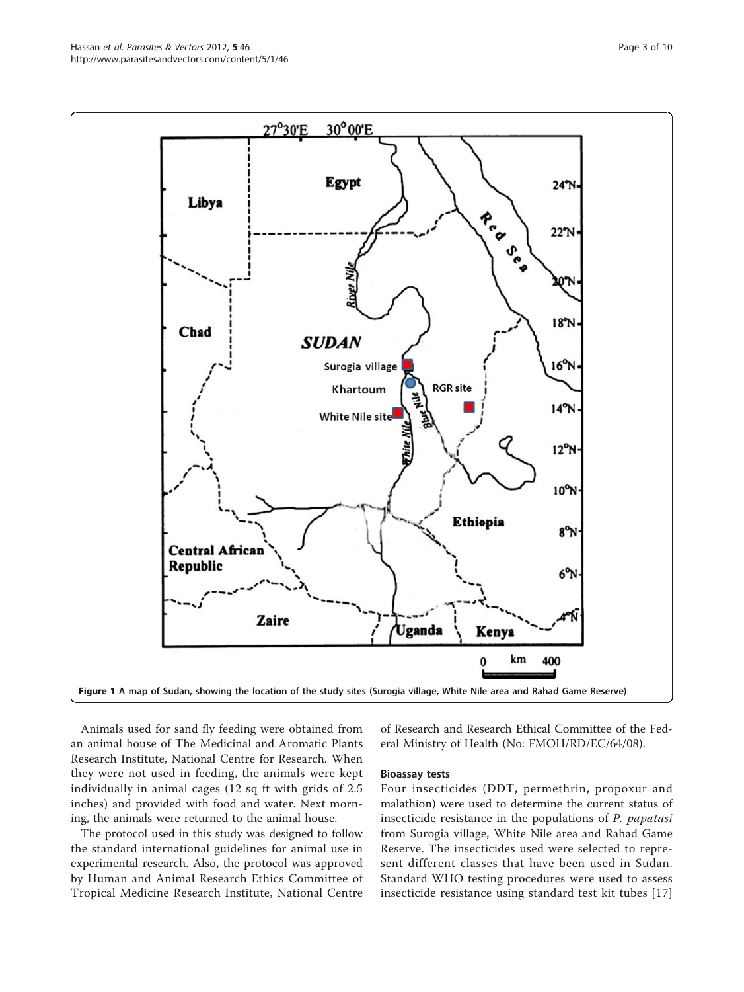Animals used for sand fly feeding were obtained from an animal house of The Medicinal and Aromatic Plants Research Institute, National Centre for Research. When they were not used in feeding, the animals were kept individually in animal cages (12 sq ft with grids of 2.5 inches) and provided with food and water. Next morning, the animals were returned to the animal house.

The protocol used in this study was designed to follow the standard international guidelines for animal use in experimental research. Also, the protocol was approved by Human and Animal Research Ethics Committee of Tropical Medicine Research Institute, National Centre

of Research and Research Ethical Committee of the Federal Ministry of Health (No: FMOH/RD/EC/64/08).

#### Bioassay tests

Four insecticides (DDT, permethrin, propoxur and malathion) were used to determine the current status of insecticide resistance in the populations of P. papatasi from Surogia village, White Nile area and Rahad Game Reserve. The insecticides used were selected to represent different classes that have been used in Sudan. Standard WHO testing procedures were used to assess insecticide resistance using standard test kit tubes [\[17](#page-8-0)]

<span id="page-2-0"></span>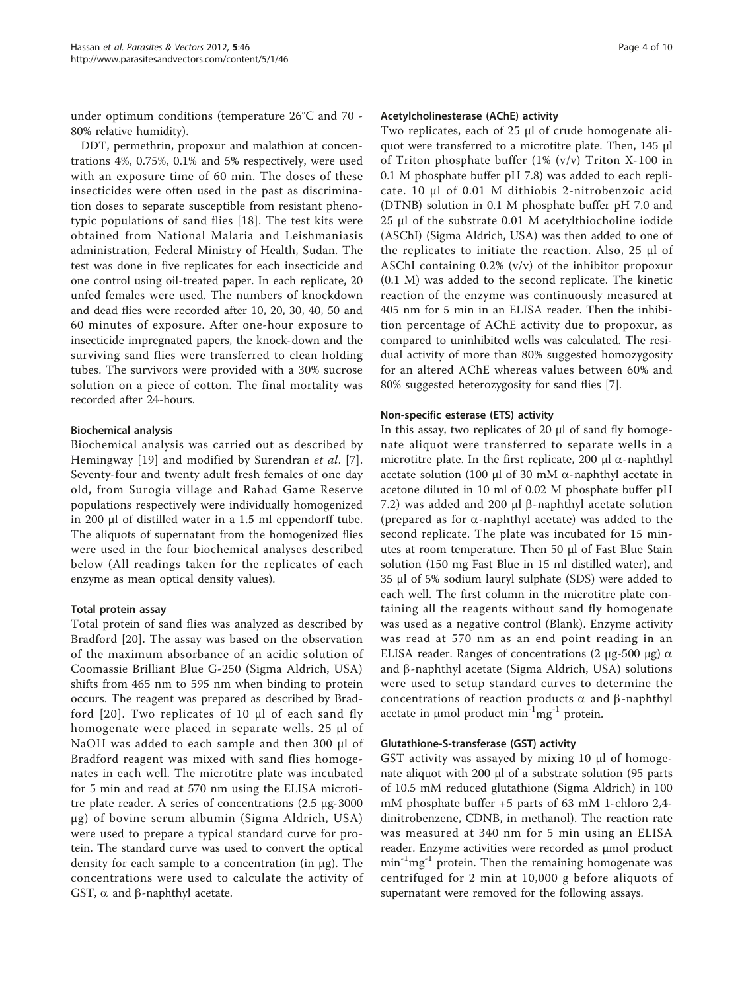under optimum conditions (temperature 26°C and 70 - 80% relative humidity).

DDT, permethrin, propoxur and malathion at concentrations 4%, 0.75%, 0.1% and 5% respectively, were used with an exposure time of 60 min. The doses of these insecticides were often used in the past as discrimination doses to separate susceptible from resistant phenotypic populations of sand flies [\[18\]](#page-8-0). The test kits were obtained from National Malaria and Leishmaniasis administration, Federal Ministry of Health, Sudan. The test was done in five replicates for each insecticide and one control using oil-treated paper. In each replicate, 20 unfed females were used. The numbers of knockdown and dead flies were recorded after 10, 20, 30, 40, 50 and 60 minutes of exposure. After one-hour exposure to insecticide impregnated papers, the knock-down and the surviving sand flies were transferred to clean holding tubes. The survivors were provided with a 30% sucrose solution on a piece of cotton. The final mortality was recorded after 24-hours.

# Biochemical analysis

Biochemical analysis was carried out as described by Hemingway [\[19\]](#page-8-0) and modified by Surendran et al. [[7](#page-8-0)]. Seventy-four and twenty adult fresh females of one day old, from Surogia village and Rahad Game Reserve populations respectively were individually homogenized in 200 μl of distilled water in a 1.5 ml eppendorff tube. The aliquots of supernatant from the homogenized flies were used in the four biochemical analyses described below (All readings taken for the replicates of each enzyme as mean optical density values).

#### Total protein assay

Total protein of sand flies was analyzed as described by Bradford [[20\]](#page-8-0). The assay was based on the observation of the maximum absorbance of an acidic solution of Coomassie Brilliant Blue G-250 (Sigma Aldrich, USA) shifts from 465 nm to 595 nm when binding to protein occurs. The reagent was prepared as described by Bradford [[20](#page-8-0)]. Two replicates of 10 μl of each sand fly homogenate were placed in separate wells. 25 μl of NaOH was added to each sample and then 300 μl of Bradford reagent was mixed with sand flies homogenates in each well. The microtitre plate was incubated for 5 min and read at 570 nm using the ELISA microtitre plate reader. A series of concentrations (2.5 μg-3000 μg) of bovine serum albumin (Sigma Aldrich, USA) were used to prepare a typical standard curve for protein. The standard curve was used to convert the optical density for each sample to a concentration (in μg). The concentrations were used to calculate the activity of GST,  $\alpha$  and  $\beta$ -naphthyl acetate.

# Acetylcholinesterase (AChE) activity

Two replicates, each of 25 μl of crude homogenate aliquot were transferred to a microtitre plate. Then, 145 μl of Triton phosphate buffer (1% (v/v) Triton X-100 in 0.1 M phosphate buffer pH 7.8) was added to each replicate. 10 μl of 0.01 M dithiobis 2-nitrobenzoic acid (DTNB) solution in 0.1 M phosphate buffer pH 7.0 and 25 μl of the substrate 0.01 M acetylthiocholine iodide (ASChI) (Sigma Aldrich, USA) was then added to one of the replicates to initiate the reaction. Also, 25 μl of ASChI containing 0.2% (v/v) of the inhibitor propoxur (0.1 M) was added to the second replicate. The kinetic reaction of the enzyme was continuously measured at 405 nm for 5 min in an ELISA reader. Then the inhibition percentage of AChE activity due to propoxur, as compared to uninhibited wells was calculated. The residual activity of more than 80% suggested homozygosity for an altered AChE whereas values between 60% and 80% suggested heterozygosity for sand flies [[7\]](#page-8-0).

#### Non-specific esterase (ETS) activity

In this assay, two replicates of 20 μl of sand fly homogenate aliquot were transferred to separate wells in a microtitre plate. In the first replicate, 200  $\mu$ l  $\alpha$ -naphthyl acetate solution (100 μl of 30 mM  $\alpha$ -naphthyl acetate in acetone diluted in 10 ml of 0.02 M phosphate buffer pH 7.2) was added and 200  $\mu$ l β-naphthyl acetate solution (prepared as for  $\alpha$ -naphthyl acetate) was added to the second replicate. The plate was incubated for 15 minutes at room temperature. Then 50 μl of Fast Blue Stain solution (150 mg Fast Blue in 15 ml distilled water), and 35 μl of 5% sodium lauryl sulphate (SDS) were added to each well. The first column in the microtitre plate containing all the reagents without sand fly homogenate was used as a negative control (Blank). Enzyme activity was read at 570 nm as an end point reading in an ELISA reader. Ranges of concentrations (2 μg-500 μg)  $\alpha$ and  $\beta$ -naphthyl acetate (Sigma Aldrich, USA) solutions were used to setup standard curves to determine the concentrations of reaction products  $\alpha$  and  $\beta$ -naphthyl acetate in  $\mu$ mol product min<sup>-1</sup>mg<sup>-1</sup> protein.

#### Glutathione-S-transferase (GST) activity

GST activity was assayed by mixing 10 μl of homogenate aliquot with 200 μl of a substrate solution (95 parts of 10.5 mM reduced glutathione (Sigma Aldrich) in 100 mM phosphate buffer +5 parts of 63 mM 1-chloro 2,4 dinitrobenzene, CDNB, in methanol). The reaction rate was measured at 340 nm for 5 min using an ELISA reader. Enzyme activities were recorded as μmol product  $min^{-1}$ mg<sup>-1</sup> protein. Then the remaining homogenate was centrifuged for 2 min at 10,000 g before aliquots of supernatant were removed for the following assays.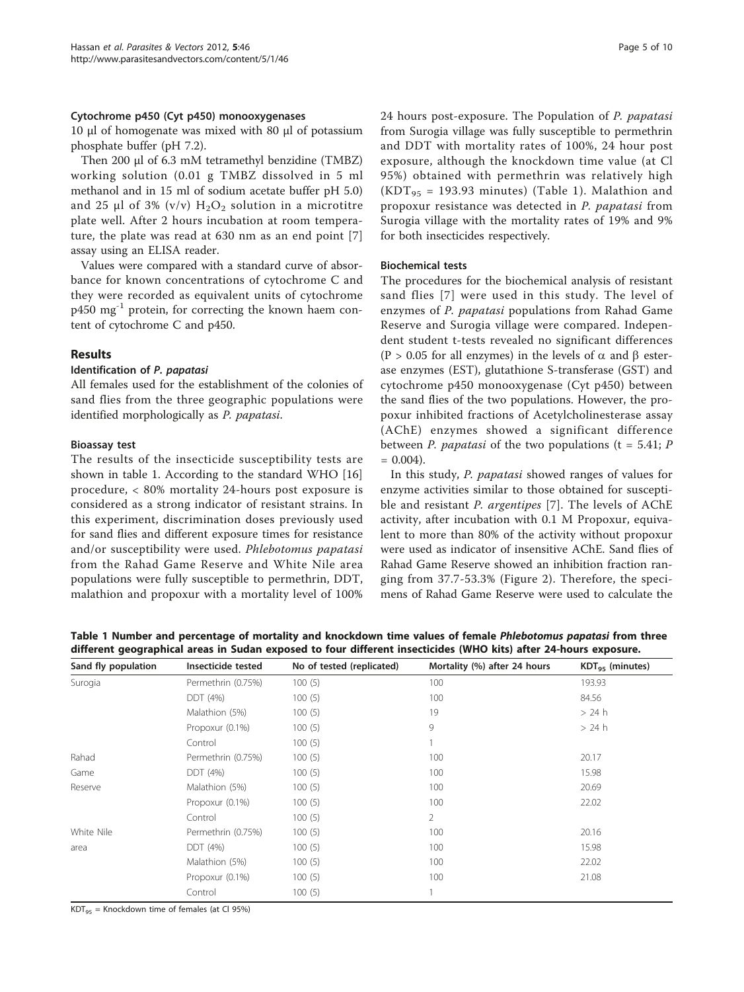#### <span id="page-4-0"></span>Cytochrome p450 (Cyt p450) monooxygenases

10 μl of homogenate was mixed with 80 μl of potassium phosphate buffer (pH 7.2).

Then 200 μl of 6.3 mM tetramethyl benzidine (TMBZ) working solution (0.01 g TMBZ dissolved in 5 ml methanol and in 15 ml of sodium acetate buffer pH 5.0) and 25 μl of 3% (v/v)  $H_2O_2$  solution in a microtitre plate well. After 2 hours incubation at room temperature, the plate was read at 630 nm as an end point [\[7](#page-8-0)] assay using an ELISA reader.

Values were compared with a standard curve of absorbance for known concentrations of cytochrome C and they were recorded as equivalent units of cytochrome  $p450$  mg<sup>-1</sup> protein, for correcting the known haem content of cytochrome C and p450.

# Results

# Identification of P. papatasi

All females used for the establishment of the colonies of sand flies from the three geographic populations were identified morphologically as P. papatasi.

# Bioassay test

The results of the insecticide susceptibility tests are shown in table 1. According to the standard WHO [\[16](#page-8-0)] procedure, < 80% mortality 24-hours post exposure is considered as a strong indicator of resistant strains. In this experiment, discrimination doses previously used for sand flies and different exposure times for resistance and/or susceptibility were used. Phlebotomus papatasi from the Rahad Game Reserve and White Nile area populations were fully susceptible to permethrin, DDT, malathion and propoxur with a mortality level of 100% 24 hours post-exposure. The Population of P. papatasi from Surogia village was fully susceptible to permethrin and DDT with mortality rates of 100%, 24 hour post exposure, although the knockdown time value (at Cl 95%) obtained with permethrin was relatively high  $(KDT_{95} = 193.93$  minutes) (Table 1). Malathion and propoxur resistance was detected in P. papatasi from Surogia village with the mortality rates of 19% and 9% for both insecticides respectively.

# Biochemical tests

The procedures for the biochemical analysis of resistant sand flies [[7](#page-8-0)] were used in this study. The level of enzymes of P. *papatasi* populations from Rahad Game Reserve and Surogia village were compared. Independent student t-tests revealed no significant differences (P > 0.05 for all enzymes) in the levels of  $\alpha$  and  $\beta$  esterase enzymes (EST), glutathione S-transferase (GST) and cytochrome p450 monooxygenase (Cyt p450) between the sand flies of the two populations. However, the propoxur inhibited fractions of Acetylcholinesterase assay (AChE) enzymes showed a significant difference between *P. papatasi* of the two populations ( $t = 5.41$ ; *P*  $= 0.004$ ).

In this study, P. papatasi showed ranges of values for enzyme activities similar to those obtained for susceptible and resistant *P. argentipes* [[7\]](#page-8-0). The levels of AChE activity, after incubation with 0.1 M Propoxur, equivalent to more than 80% of the activity without propoxur were used as indicator of insensitive AChE. Sand flies of Rahad Game Reserve showed an inhibition fraction ranging from 37.7-53.3% (Figure [2](#page-5-0)). Therefore, the specimens of Rahad Game Reserve were used to calculate the

Table 1 Number and percentage of mortality and knockdown time values of female Phlebotomus papatasi from three different geographical areas in Sudan exposed to four different insecticides (WHO kits) after 24-hours exposure.

| Sand fly population | Insecticide tested | No of tested (replicated) | Mortality (%) after 24 hours | $KDT_{95}$ (minutes) |
|---------------------|--------------------|---------------------------|------------------------------|----------------------|
| Surogia             | Permethrin (0.75%) | 100(5)                    | 100                          | 193.93               |
|                     | DDT (4%)           | 100(5)                    | 100                          | 84.56                |
|                     | Malathion (5%)     | 100(5)                    | 19                           | $>24$ h              |
|                     | Propoxur (0.1%)    | 100(5)                    | 9                            | >24 h                |
|                     | Control            | 100(5)                    |                              |                      |
| Rahad               | Permethrin (0.75%) | 100(5)                    | 100                          | 20.17                |
| Game                | DDT (4%)           | 100(5)                    | 100                          | 15.98                |
| Reserve             | Malathion (5%)     | 100(5)                    | 100                          | 20.69                |
|                     | Propoxur (0.1%)    | 100(5)                    | 100                          | 22.02                |
|                     | Control            | 100(5)                    | $\overline{2}$               |                      |
| White Nile          | Permethrin (0.75%) | 100(5)                    | 100                          | 20.16                |
| area                | DDT (4%)           | 100(5)                    | 100                          | 15.98                |
|                     | Malathion (5%)     | 100(5)                    | 100                          | 22.02                |
|                     | Propoxur (0.1%)    | 100(5)                    | 100                          | 21.08                |
|                     | Control            | 100(5)                    |                              |                      |

 $KDT_{95}$  = Knockdown time of females (at Cl 95%)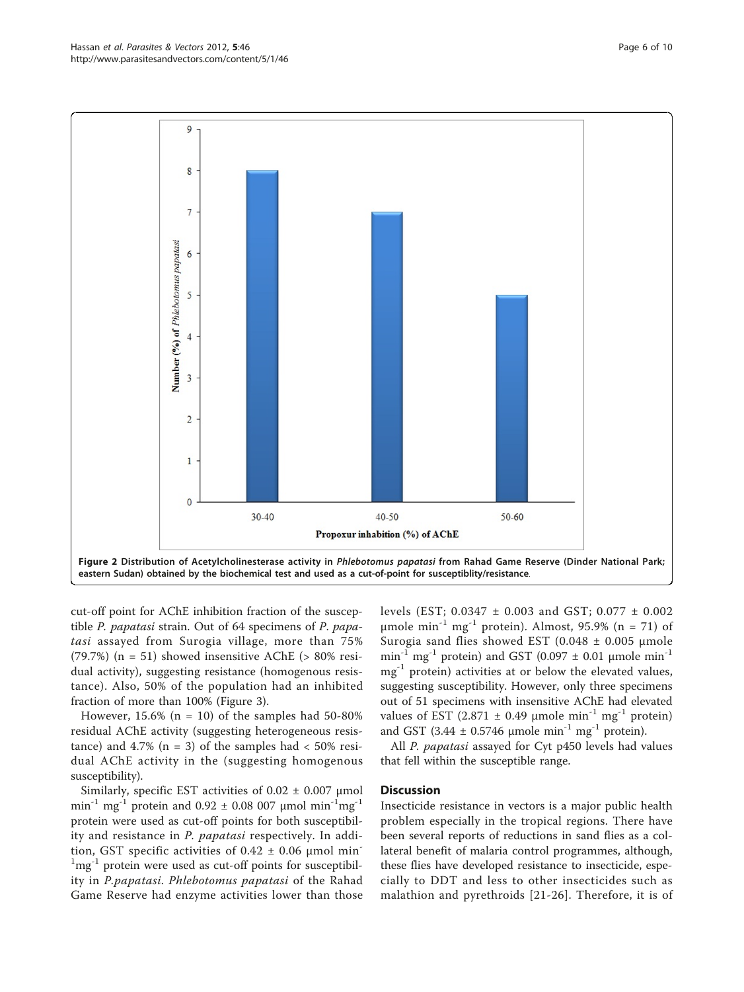<span id="page-5-0"></span>

cut-off point for AChE inhibition fraction of the susceptible P. papatasi strain. Out of 64 specimens of P. papatasi assayed from Surogia village, more than 75% (79.7%) ( $n = 51$ ) showed insensitive AChE ( $> 80\%$  residual activity), suggesting resistance (homogenous resistance). Also, 50% of the population had an inhibited fraction of more than 100% (Figure [3](#page-6-0)).

However,  $15.6\%$  (n = 10) of the samples had  $50-80\%$ residual AChE activity (suggesting heterogeneous resistance) and 4.7% ( $n = 3$ ) of the samples had  $< 50\%$  residual AChE activity in the (suggesting homogenous susceptibility).

Similarly, specific EST activities of  $0.02 \pm 0.007$  µmol min<sup>-1</sup> mg<sup>-1</sup> protein and 0.92  $\pm$  0.08 007 µmol min<sup>-1</sup>mg<sup>-1</sup> protein were used as cut-off points for both susceptibility and resistance in P. papatasi respectively. In addition, GST specific activities of  $0.42 \pm 0.06$  µmol min<sup>-</sup> <sup>1</sup>mg<sup>-1</sup> protein were used as cut-off points for susceptibility in P.papatasi. Phlebotomus papatasi of the Rahad Game Reserve had enzyme activities lower than those levels (EST; 0.0347 ± 0.003 and GST; 0.077 ± 0.002 μmole min<sup>-1</sup> mg<sup>-1</sup> protein). Almost, 95.9% (n = 71) of Surogia sand flies showed EST (0.048  $\pm$  0.005 µmole min<sup>-1</sup> mg<sup>-1</sup> protein) and GST (0.097  $\pm$  0.01 µmole min<sup>-1</sup>  $mg^{-1}$  protein) activities at or below the elevated values, suggesting susceptibility. However, only three specimens out of 51 specimens with insensitive AChE had elevated values of EST (2.871  $\pm$  0.49 µmole min<sup>-1</sup> mg<sup>-1</sup> protein) and GST (3.44  $\pm$  0.5746 µmole min<sup>-1</sup> mg<sup>-1</sup> protein).

All P. papatasi assayed for Cyt p450 levels had values that fell within the susceptible range.

#### **Discussion**

Insecticide resistance in vectors is a major public health problem especially in the tropical regions. There have been several reports of reductions in sand flies as a collateral benefit of malaria control programmes, although, these flies have developed resistance to insecticide, especially to DDT and less to other insecticides such as malathion and pyrethroids [\[21-26\]](#page-8-0). Therefore, it is of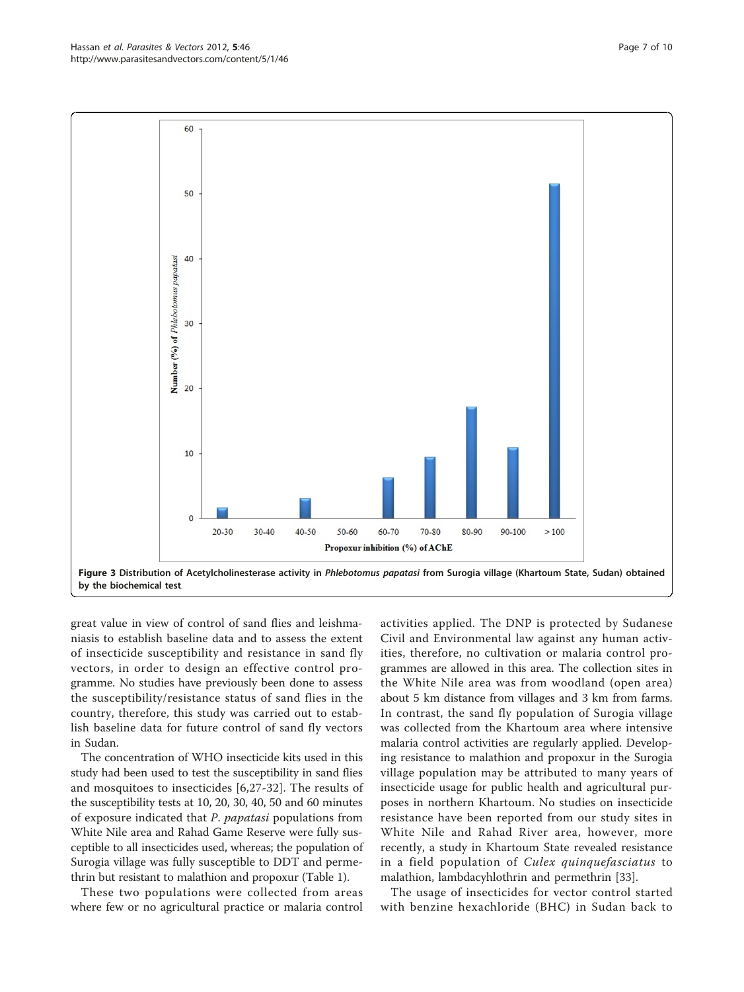great value in view of control of sand flies and leishmaniasis to establish baseline data and to assess the extent of insecticide susceptibility and resistance in sand fly vectors, in order to design an effective control programme. No studies have previously been done to assess the susceptibility/resistance status of sand flies in the country, therefore, this study was carried out to establish baseline data for future control of sand fly vectors in Sudan.

The concentration of WHO insecticide kits used in this study had been used to test the susceptibility in sand flies and mosquitoes to insecticides [\[6](#page-8-0),[27-](#page-8-0)[32](#page-9-0)]. The results of the susceptibility tests at 10, 20, 30, 40, 50 and 60 minutes of exposure indicated that P. papatasi populations from White Nile area and Rahad Game Reserve were fully susceptible to all insecticides used, whereas; the population of Surogia village was fully susceptible to DDT and permethrin but resistant to malathion and propoxur (Table [1\)](#page-4-0).

These two populations were collected from areas where few or no agricultural practice or malaria control activities applied. The DNP is protected by Sudanese Civil and Environmental law against any human activities, therefore, no cultivation or malaria control programmes are allowed in this area. The collection sites in the White Nile area was from woodland (open area) about 5 km distance from villages and 3 km from farms. In contrast, the sand fly population of Surogia village was collected from the Khartoum area where intensive malaria control activities are regularly applied. Developing resistance to malathion and propoxur in the Surogia village population may be attributed to many years of insecticide usage for public health and agricultural purposes in northern Khartoum. No studies on insecticide resistance have been reported from our study sites in White Nile and Rahad River area, however, more recently, a study in Khartoum State revealed resistance in a field population of Culex quinquefasciatus to malathion, lambdacyhlothrin and permethrin [\[33\]](#page-9-0).

The usage of insecticides for vector control started with benzine hexachloride (BHC) in Sudan back to

<span id="page-6-0"></span>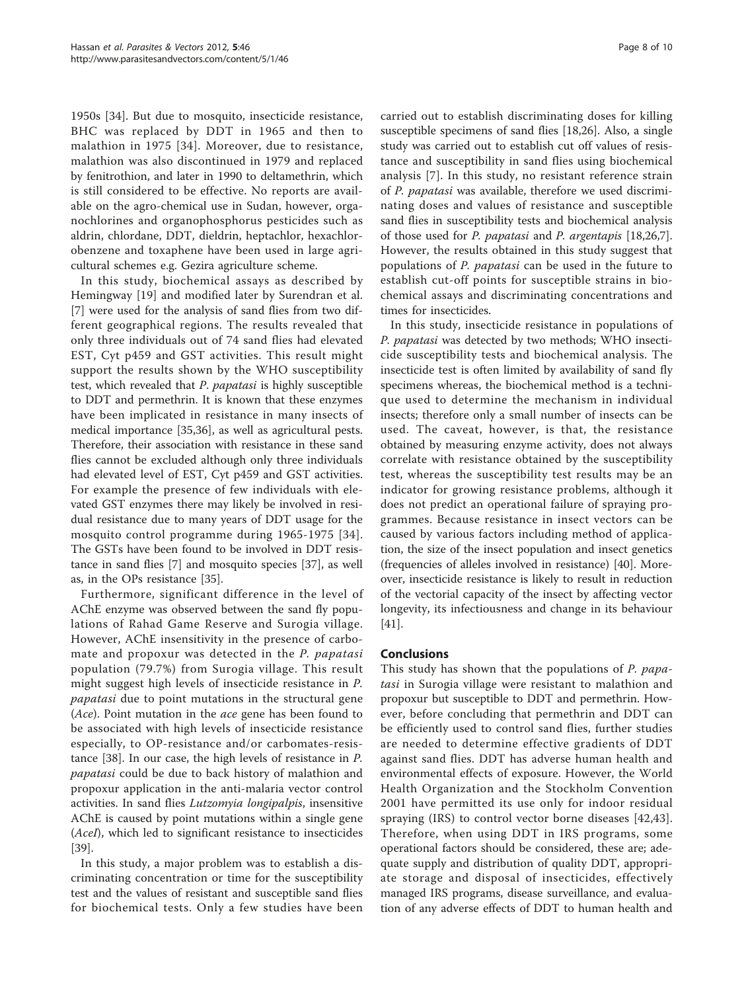1950s [\[34](#page-9-0)]. But due to mosquito, insecticide resistance, BHC was replaced by DDT in 1965 and then to malathion in 1975 [[34\]](#page-9-0). Moreover, due to resistance, malathion was also discontinued in 1979 and replaced by fenitrothion, and later in 1990 to deltamethrin, which is still considered to be effective. No reports are available on the agro-chemical use in Sudan, however, organochlorines and organophosphorus pesticides such as aldrin, chlordane, DDT, dieldrin, heptachlor, hexachlorobenzene and toxaphene have been used in large agricultural schemes e.g. Gezira agriculture scheme.

In this study, biochemical assays as described by Hemingway [[19\]](#page-8-0) and modified later by Surendran et al. [[7\]](#page-8-0) were used for the analysis of sand flies from two different geographical regions. The results revealed that only three individuals out of 74 sand flies had elevated EST, Cyt p459 and GST activities. This result might support the results shown by the WHO susceptibility test, which revealed that P. papatasi is highly susceptible to DDT and permethrin. It is known that these enzymes have been implicated in resistance in many insects of medical importance [[35,36\]](#page-9-0), as well as agricultural pests. Therefore, their association with resistance in these sand flies cannot be excluded although only three individuals had elevated level of EST, Cyt p459 and GST activities. For example the presence of few individuals with elevated GST enzymes there may likely be involved in residual resistance due to many years of DDT usage for the mosquito control programme during 1965-1975 [[34\]](#page-9-0). The GSTs have been found to be involved in DDT resistance in sand flies [[7\]](#page-8-0) and mosquito species [\[37](#page-9-0)], as well as, in the OPs resistance [[35\]](#page-9-0).

Furthermore, significant difference in the level of AChE enzyme was observed between the sand fly populations of Rahad Game Reserve and Surogia village. However, AChE insensitivity in the presence of carbomate and propoxur was detected in the P. papatasi population (79.7%) from Surogia village. This result might suggest high levels of insecticide resistance in P. papatasi due to point mutations in the structural gene (Ace). Point mutation in the ace gene has been found to be associated with high levels of insecticide resistance especially, to OP-resistance and/or carbomates-resistance [[38\]](#page-9-0). In our case, the high levels of resistance in P. papatasi could be due to back history of malathion and propoxur application in the anti-malaria vector control activities. In sand flies Lutzomyia longipalpis, insensitive AChE is caused by point mutations within a single gene (AceI), which led to significant resistance to insecticides [[39\]](#page-9-0).

In this study, a major problem was to establish a discriminating concentration or time for the susceptibility test and the values of resistant and susceptible sand flies for biochemical tests. Only a few studies have been

carried out to establish discriminating doses for killing susceptible specimens of sand flies [[18,26](#page-8-0)]. Also, a single study was carried out to establish cut off values of resistance and susceptibility in sand flies using biochemical analysis [[7](#page-8-0)]. In this study, no resistant reference strain of P. papatasi was available, therefore we used discriminating doses and values of resistance and susceptible sand flies in susceptibility tests and biochemical analysis of those used for P. papatasi and P. argentapis [[18,26,7](#page-8-0)]. However, the results obtained in this study suggest that populations of P. papatasi can be used in the future to establish cut-off points for susceptible strains in biochemical assays and discriminating concentrations and times for insecticides.

In this study, insecticide resistance in populations of P. papatasi was detected by two methods; WHO insecticide susceptibility tests and biochemical analysis. The insecticide test is often limited by availability of sand fly specimens whereas, the biochemical method is a technique used to determine the mechanism in individual insects; therefore only a small number of insects can be used. The caveat, however, is that, the resistance obtained by measuring enzyme activity, does not always correlate with resistance obtained by the susceptibility test, whereas the susceptibility test results may be an indicator for growing resistance problems, although it does not predict an operational failure of spraying programmes. Because resistance in insect vectors can be caused by various factors including method of application, the size of the insect population and insect genetics (frequencies of alleles involved in resistance) [\[40](#page-9-0)]. Moreover, insecticide resistance is likely to result in reduction of the vectorial capacity of the insect by affecting vector longevity, its infectiousness and change in its behaviour [[41\]](#page-9-0).

#### Conclusions

This study has shown that the populations of P. papatasi in Surogia village were resistant to malathion and propoxur but susceptible to DDT and permethrin. However, before concluding that permethrin and DDT can be efficiently used to control sand flies, further studies are needed to determine effective gradients of DDT against sand flies. DDT has adverse human health and environmental effects of exposure. However, the World Health Organization and the Stockholm Convention 2001 have permitted its use only for indoor residual spraying (IRS) to control vector borne diseases [[42,43](#page-9-0)]. Therefore, when using DDT in IRS programs, some operational factors should be considered, these are; adequate supply and distribution of quality DDT, appropriate storage and disposal of insecticides, effectively managed IRS programs, disease surveillance, and evaluation of any adverse effects of DDT to human health and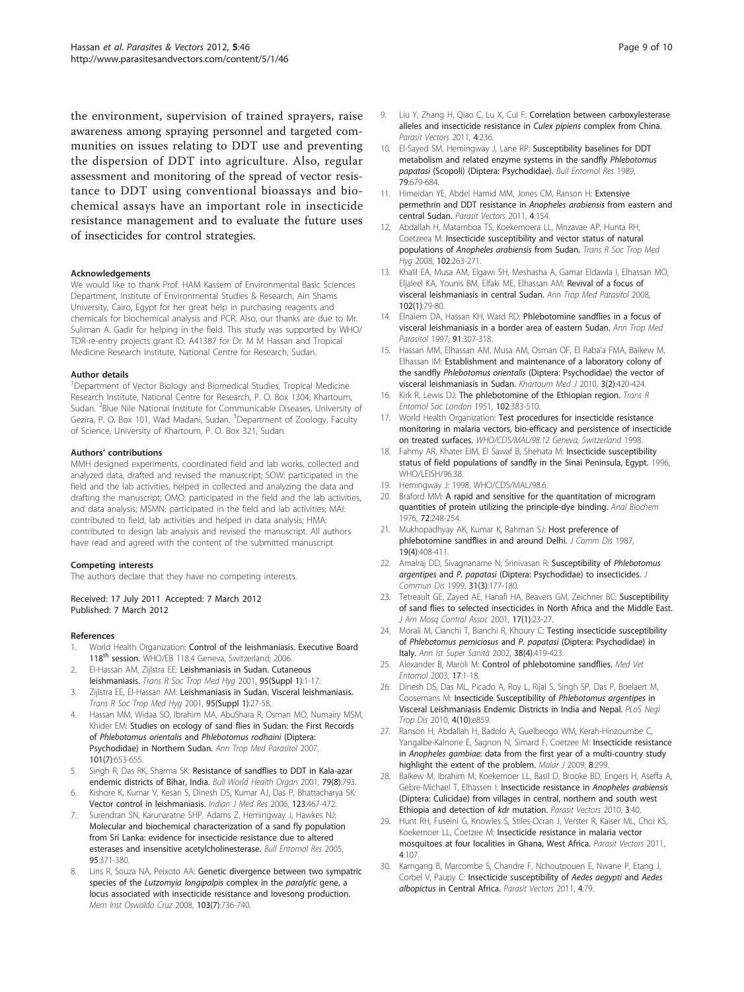<span id="page-8-0"></span>the environment, supervision of trained sprayers, raise awareness among spraying personnel and targeted communities on issues relating to DDT use and preventing the dispersion of DDT into agriculture. Also, regular assessment and monitoring of the spread of vector resistance to DDT using conventional bioassays and biochemical assays have an important role in insecticide resistance management and to evaluate the future uses of insecticides for control strategies.

#### Acknowledgements

We would like to thank Prof. HAM Kassem of Environmental Basic Sciences Department, Institute of Environmental Studies & Research, Ain Shams University, Cairo, Egypt for her great help in purchasing reagents and chemicals for biochemical analysis and PCR. Also, our thanks are due to Mr. Suliman A. Gadir for helping in the field. This study was supported by WHO/ TDR-re-entry projects grant ID: A41387 for Dr. M M Hassan and Tropical Medicine Research Institute, National Centre for Research, Sudan.

#### Author details

<sup>1</sup>Department of Vector Biology and Biomedical Studies, Tropical Medicine Research Institute, National Centre for Research, P. O. Box 1304, Khartoum, Sudan. <sup>2</sup>Blue Nile National Institute for Communicable Diseases, University of Gezira, P. O. Box 101, Wad Madani, Sudan. <sup>3</sup>Department of Zoology, Faculty of Science, University of Khartoum, P. O. Box 321, Sudan.

#### Authors' contributions

MMH designed experiments, coordinated field and lab works, collected and analyzed data, drafted and revised the manuscript; SOW: participated in the field and the lab activities, helped in collected and analyzing the data and drafting the manuscript; OMO: participated in the field and the lab activities, and data analysis; MSMN: participated in the field and lab activities; MAI: contributed to field, lab activities and helped in data analysis; HMA: contributed to design lab analysis and revised the manuscript. All authors have read and agreed with the content of the submitted manuscript

#### Competing interests

The authors declare that they have no competing interests.

Received: 17 July 2011 Accepted: 7 March 2012 Published: 7 March 2012

#### References

- World Health Organization: Control of the leishmaniasis. Executive Board 118<sup>th</sup> session. WHO/EB 118.4 Geneva, Switzerland; 2006.
- 2. El-Hassan AM, Zijlstra EE: [Leishmaniasis in Sudan. Cutaneous](http://www.ncbi.nlm.nih.gov/pubmed/11280051?dopt=Abstract) [leishmaniasis.](http://www.ncbi.nlm.nih.gov/pubmed/11280051?dopt=Abstract) Trans R Soc Trop Med Hyg 2001, 95(Suppl 1):1-17.
- 3. Zijlstra EE, El-Hassan AM: [Leishmaniasis in Sudan. Visceral leishmaniasis.](http://www.ncbi.nlm.nih.gov/pubmed/11280058?dopt=Abstract) Trans R Soc Trop Med Hyg 2001, 95(Suppl 1):27-58.
- 4. Hassan MM, Widaa SO, Ibrahim MA, AbuShara R, Osman MO, Numairy MSM, Khider EM: [Studies on ecology of sand flies in Sudan: the First Records](http://www.ncbi.nlm.nih.gov/pubmed/17877884?dopt=Abstract) of [Phlebotomus orientalis](http://www.ncbi.nlm.nih.gov/pubmed/17877884?dopt=Abstract) and Phlebotomus rodhaini (Diptera: [Psychodidae\) in Northern Sudan.](http://www.ncbi.nlm.nih.gov/pubmed/17877884?dopt=Abstract) Ann Trop Med Parasitol 2007, 101(7):653-655.
- 5. Singh R, Das RK, Sharma SK: [Resistance of sandflies to DDT in Kala-azar](http://www.ncbi.nlm.nih.gov/pubmed/11545339?dopt=Abstract) [endemic districts of Bihar, India.](http://www.ncbi.nlm.nih.gov/pubmed/11545339?dopt=Abstract) Bull World Health Organ 2001, 79(8):793.
- 6. Kishore K, Kumar V, Kesari S, Dinesh DS, Kumar AJ, Das P, Bhattacharya SK: [Vector control in leishmaniasis.](http://www.ncbi.nlm.nih.gov/pubmed/16778324?dopt=Abstract) Indian J Med Res 2006, 123:467-472.
- 7. Surendran SN, Karunaratne SHP, Adams Z, Hemingway J, Hawkes NJ: [Molecular and biochemical characterization of a sand fly population](http://www.ncbi.nlm.nih.gov/pubmed/16048685?dopt=Abstract) [from Sri Lanka: evidence for insecticide resistance due to altered](http://www.ncbi.nlm.nih.gov/pubmed/16048685?dopt=Abstract) [esterases and insensitive acetylcholinesterase.](http://www.ncbi.nlm.nih.gov/pubmed/16048685?dopt=Abstract) Bull Entomol Res 2005, 95:371-380.
- Lins R, Souza NA, Peixoto AA: [Genetic divergence between two sympatric](http://www.ncbi.nlm.nih.gov/pubmed/19057828?dopt=Abstract) species of the [Lutzomyia longipalpis](http://www.ncbi.nlm.nih.gov/pubmed/19057828?dopt=Abstract) complex in the paralytic gene, a [locus associated with insecticide resistance and lovesong production.](http://www.ncbi.nlm.nih.gov/pubmed/19057828?dopt=Abstract) Mem Inst Oswaldo Cruz 2008, 103(7):736-740.
- 9. Liu Y, Zhang H, Qiao C, Lu X, Cui F: [Correlation between carboxylesterase](http://www.ncbi.nlm.nih.gov/pubmed/22177233?dopt=Abstract) [alleles and insecticide resistance in](http://www.ncbi.nlm.nih.gov/pubmed/22177233?dopt=Abstract) Culex pipiens complex from China. Parasit Vectors 2011, 4:236.
- 10. El-Sayed SM, Hemingway J, Lane RP: Susceptibility baselines for DDT metabolism and related enzyme systems in the sandfly Phlebotomus papatasi (Scopoli) (Diptera: Psychodidae). Bull Entomol Res 1989, 79:679-684.
- 11. Himeidan YE, Abdel Hamid MM, Jones CM, Ranson H: [Extensive](http://www.ncbi.nlm.nih.gov/pubmed/21812972?dopt=Abstract) [permethrin and DDT resistance in](http://www.ncbi.nlm.nih.gov/pubmed/21812972?dopt=Abstract) Anopheles arabiensis from eastern and [central Sudan.](http://www.ncbi.nlm.nih.gov/pubmed/21812972?dopt=Abstract) Parasit Vectors 2011, 4:154.
- 12. Abdallah H, Matamboa TS, Koekemoera LL, Mnzavae AP, Hunta RH, Coetzeea M: [Insecticide susceptibility and vector status of natural](http://www.ncbi.nlm.nih.gov/pubmed/18054056?dopt=Abstract) populations of [Anopheles arabiensis](http://www.ncbi.nlm.nih.gov/pubmed/18054056?dopt=Abstract) from Sudan. Trans R Soc Trop Med Hyg 2008, 102:263-271.
- 13. Khalil EA, Musa AM, Elgawi SH, Meshasha A, Gamar Eldawla I, Elhassan MO, Eljaleel KA, Younis BM, Elfaki ME, Elhassan AM: [Revival of a focus of](http://www.ncbi.nlm.nih.gov/pubmed/18186981?dopt=Abstract) [visceral leishmaniasis in central Sudan.](http://www.ncbi.nlm.nih.gov/pubmed/18186981?dopt=Abstract) Ann Trop Med Parasitol 2008, 102(1):79-80.
- 14. Elnaiem DA, Hassan KH, Ward RD: [Phlebotomine sandflies in a focus of](http://www.ncbi.nlm.nih.gov/pubmed/9229023?dopt=Abstract) [visceral leishmaniasis in a border area of eastern Sudan.](http://www.ncbi.nlm.nih.gov/pubmed/9229023?dopt=Abstract) Ann Trop Med Parasitol 1997, 91:307-318.
- 15. Hassan MM, Elhassan AM, Musa AM, Osman OF, El Raba'a FMA, Balkew M, Elhassan IM: Establishment and maintenance of a laboratory colony of the sandfly Phlebotomus orientalis (Diptera: Psychodidae) the vector of visceral leishmaniasis in Sudan. Khartoum Med J 2010, 3(2):420-424.
- 16. Kirk R, Lewis DJ: The phlebotomine of the Ethiopian region. Trans R Entomol Soc London 1951, 102:383-510.
- 17. World Health Organization: Test procedures for insecticide resistance monitoring in malaria vectors, bio-efficacy and persistence of insecticide on treated surfaces. WHO/CDS/MAL/98.12 Geneva, Switzerland 1998.
- 18. Fahmy AR, Khater EIM, El Sawaf B, Shehata M: Insecticide susceptibility status of field populations of sandfly in the Sinai Peninsula, Egypt. 1996, WHO/LEISH/96.38.
- 19. Hemingway J: 1998, WHO/CDS/MAL/98.6.
- 20. Braford MM: [A rapid and sensitive for the quantitation of microgram](http://www.ncbi.nlm.nih.gov/pubmed/942051?dopt=Abstract) [quantities of protein utilizing the principle-dye binding.](http://www.ncbi.nlm.nih.gov/pubmed/942051?dopt=Abstract) Anal Biochem 1976, 72:248-254.
- 21. Mukhopadhyay AK, Kumar K, Rahman SJ: Host preference of phlebotomine sandflies in and around Delhi. J Comm Dis 1987, 19(4):408-411.
- 22. Amalraj DD, Sivagnaname N, Srinivasan R: [Susceptibility of](http://www.ncbi.nlm.nih.gov/pubmed/10916614?dopt=Abstract) Phlebotomus argentipes and P. papatasi [\(Diptera: Psychodidae\) to insecticides.](http://www.ncbi.nlm.nih.gov/pubmed/10916614?dopt=Abstract) J Commun Dis 1999, 31(3):177-180.
- 23. Tetreault GE, Zayed AE, Hanafi HA, Beavers GM, Zeichner BC: [Susceptibility](http://www.ncbi.nlm.nih.gov/pubmed/11345414?dopt=Abstract) [of sand flies to selected insecticides in North Africa and the Middle East.](http://www.ncbi.nlm.nih.gov/pubmed/11345414?dopt=Abstract) J Am Mosq Control Assoc 2001, 17(1):23-27.
- 24. Morali M, Cianchi T, Bianchi R, Khoury C: Testing insecticide susceptibility of Phlebotomus perniciosus and P. papatasi (Diptera: Psychodidae) in Italy. Ann Ist Super Sanità 2002, 38(4):419-423.
- 25. Alexander B, Maroli M: [Control of phlebotomine sandflies.](http://www.ncbi.nlm.nih.gov/pubmed/12680919?dopt=Abstract) Med Vet Entomol 2003, 17:1-18.
- 26. Dinesh DS, Das ML, Picado A, Roy L, Rijal S, Singh SP, Das P, Boelaert M, Coosemans M: [Insecticide Susceptibility of](http://www.ncbi.nlm.nih.gov/pubmed/21049013?dopt=Abstract) Phlebotomus argentipes in [Visceral Leishmaniasis Endemic Districts in India and Nepal.](http://www.ncbi.nlm.nih.gov/pubmed/21049013?dopt=Abstract) PLoS Negl Trop Dis 2010, 4(10):e859.
- 27. Ranson H, Abdallah H, Badolo A, Guelbeogo WM, Kerah-Hinzoumbe C, Yangalbe-Kalnone E, Sagnon N, Simard F, Coetzee M: [Insecticide resistance](http://www.ncbi.nlm.nih.gov/pubmed/20015411?dopt=Abstract) in Anopheles gambiae[: data from the first year of a multi-country study](http://www.ncbi.nlm.nih.gov/pubmed/20015411?dopt=Abstract) [highlight the extent of the problem.](http://www.ncbi.nlm.nih.gov/pubmed/20015411?dopt=Abstract) Malar J 2009, 8:299.
- 28. Balkew M, Ibrahim M, Koekemoer LL, Basil D, Brooke BD, Engers H, Aseffa A, Gebre-Michael T, Elhassen I: [Insecticide resistance in](http://www.ncbi.nlm.nih.gov/pubmed/20416109?dopt=Abstract) Anopheles arabiensis [\(Diptera: Culicidae\) from villages in central, northern and south west](http://www.ncbi.nlm.nih.gov/pubmed/20416109?dopt=Abstract) [Ethiopia and detection of](http://www.ncbi.nlm.nih.gov/pubmed/20416109?dopt=Abstract) kdr mutation. Parasit Vectors 2010, 3:40.
- 29. Hunt RH, Fuseini G, Knowles S, Stiles-Ocran J, Verster R, Kaiser ML, Choi KS, Koekemoer LL, Coetzee M: [Insecticide resistance in malaria vector](http://www.ncbi.nlm.nih.gov/pubmed/21679391?dopt=Abstract) [mosquitoes at four localities in Ghana, West Africa.](http://www.ncbi.nlm.nih.gov/pubmed/21679391?dopt=Abstract) Parasit Vectors 2011, 4:107.
- 30. Kamgang B, Marcombe S, Chandre F, Nchoutpouen E, Nwane P, Etang J, Corbel V, Paupy C: [Insecticide susceptibility of](http://www.ncbi.nlm.nih.gov/pubmed/21575154?dopt=Abstract) Aedes aegypti and Aedes albopictus [in Central Africa.](http://www.ncbi.nlm.nih.gov/pubmed/21575154?dopt=Abstract) Parasit Vectors 2011, 4:79.